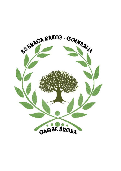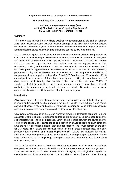**Osjetljivost masline** (*Olea europea* L*.*) **na niske temperature**

**Olive sensitivity** (*Olea europea* L.) **to low temperatures**

# **Iva Žeko, Mihael Fredotović, Mate Ćurić Mentori: Mihajlo Lerinc, prof.,Ivanka Stipoljev,prof. SŠ "Braća Radić" Kaštel Štafilić – Nehaj**

# **Summary**

This project was intended to investigate whether low temperatures at the end of February 2018, after excessive warm weather, caused damage to the olive trees, favored disease development and reduced yield. Is there a correlation between the time of implementation of agrotechnical measures with the degree of damage caused by low temperatures?

The GLOBE atmosphere protocol and the BBCH scale for determination of olive phenophase were used. Field monitoring of olive cultivars in the Kastela area was carried out in April, May and October 2018 when the total yield per cultivars was estimated.The results have shown that olive cultivars originating from the southern and warmer regions such as Italy (Pendolino, Leccino) and Southern Dalmatia (Lastovka), which were in the phenophase of leaf development or appearance of inflorescences as well as olives on which was previously performed pruning and fertilization, are more sensitive to low temperatures.Oscillation of temperatures in a short period of time (-2.4 ˚C to -6.8 ˚C from February 25 to March 1, 2018) caused partial or total decay of flower buds, freezing and cracking of barkon branches, leaf drop, increase ininfection by olive bacterial canker and smaller yield (only 33.13% of standard yields).It is desirable to select locations where there is less chance of such oscillations in temperatures, resistant cultivars like Middle Dalmatian, and avoiding agrotechnical measures until the danger of low temperatures passes.

# **Introduction**

Olive is an inseparable part of the coastal landscape, united with the life of the local people; it is unique and irreplaceable. Olive growing is not just an industry, it is a cultural phenomenon, a symbol of peace, wisdom and a cure. Olive culture in our region is one of the indispensable ones in our coastal area and olive as a culture deserves all the attention.

Olive (Olea europaeaL.) is an evergreen plant that grows in a temperate zone and is grown as a stalk or shrub. The root is branched and found at a depth of 15-80 cm, depending on the soil characteristics. The trunk is crooked, lumpy, and is located between the stump and the crown of the canopy. The leaves are oblong-elliptical in shape opposite to each other and have the role of assimilation, dissimilation and transpiration. The leaves remain on the olive for 2-3 years. The flowers are bisexual, white, united in erect inflorescences. The olive produces fertile flowers and "morphologically-sterile" flowers, so varieties for optimal fertilization require the presence of pollinators. The fruit is an egg-shaped bone berry, 1-3 cm long, 1-5 cm thick, at the beginning of the green color, and when it ripens, it is reddish to black (Elezović, 1997).

The first olive varieties were isolated from wild olive populations, most likely because of their own productivity, fruit size and adaptability to different environmental conditions (Barranco, 2008; Besnard et al., 2013). The varieties differ in biological, morphological and agronomic characteristics such as canopy shape, color and size of leaves, fruit and stone, flowering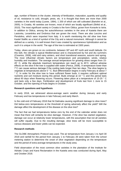age, number of flowers in the cluster, intensity of fertilization, maturation, quantity and quality of oil, resistance to cold, drought, pests, etc. It is thought that there are more than 2000 varieties in the world today (Lavee, 1994), 1 200 of which are still cultivated (Bartolini et al., 2005). In Croatia, 46 varieties are known, most of which are locally significant (Strikić et al., 2010). The most significant variety in Croatia is the form Oblica, grown from Konavle to Istria. In addition to Oblica, among the autochthonous varieties in the area of Kastela there are Lastovka, Levantinka and Drobnica that are grown the most. There are also Leccino and Pendolino, which were imported from Italy. It is worth mentioning the old olive tree from Kastel Stafilic as a kind of symbol of the City and a natural monument. Although it cannot be defined as a variety, it is well known that it was created by spontaneous hybridization and as such it is unique in the world. The age of the tree is estimated at 1500 years.

Today, olives are grown on six continents, between 30º and 45º north and south latitude. On this belt, the climate is typical Mediterranean and is characterized by hot and dry summers (Civantos, 2008), mild and rainy winters, and short transitional seasons, autumn and spring. The most influential climatic factors are temperature and precipitation, winds, relative humidity and insolation. The average annual temperature for growing olives ranges from 15- 20˚ C, while the absolute maximum temperature can reach up to 40˚C, without adverse effects on the olive if the tree is supplied with water (Perica, 2006). A temperature lower than 7˚C can cause serious damage if the cooling lasts longer than ten days. The olive begins to vegetate at temperatures above 5 ° C. Bud differentiation begins in early February at about 7 ° C. In order for the olive tree to have sufficient flower buds, it requires sufficient optimal nutrients and soil moisture during this period. Buds emerge at 10 ° C and this period lasts about 60 days when flowering occurs. Flowering takes place at a temperature of 15-20 ° C and lasts only a few days. Fertilization and development of fruits last from 1 June to 15 October, and the ripening of fruits begins in October.

# **Research questions and hypothesis**

In early 2018, we witnessed above-average warm weather during January and early February and low temperatures in late February and early March.

Is the cold end of February 2018 that hit Dalmatia causing significant damage to olive trees? Did below-zero temperatures at the threshold of spring adversely affect the yield? Will the damage affect the development of the disease on the olive tree?

The fact that we had temperatures below zero by the end of the calendar winter does not mean that there will certainly be olive damage. However, if the olive has started vegetation, damage can occur at relatively lower temperatures, with the assumption that not all varieties will suffer equally. Due to the resulting damage, olive trees will be more susceptible to various diseases and lower yields can be expected.

# **Research methods**

The GLOBE Atmospheric Protocol was used. The air temperature from January 1 to April 30 2018 and rainfall for the period from January 1 to February 28 were taken from the school metering station to determine the onset of olive vegetation depending on the temperature and the period of extra-average temperatures in the study area.

Field observation of the most common olive varieties in the plantation of the Institute for Adriatic Crops and Karst Reclamation in the Kastela area was conducted during April, May and October 2018.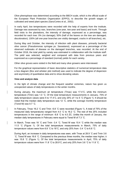Olive phenophase was determined according to the BBCH scale, which is the official scale of the European Plant Protection Organization (EPPO), to describe the growth stages of cultivated and weed plant species (SanzCortes et al., 2002).

In early April, low temperatures were recorded with the help of experts from the Institute. Damage was assessed by wax, branches (one-year, two-year and basic) and trunk. Through field visits to the plantations, the intensity of damage, expressed as a percentage, was recorded for each tree: 0% (no damage); 50% (half of the leaves on the tree are damaged, discoloration); 100% (all one-year branches are visibly damaged, cracks in all branches), etc.

During May and October, the intensity of infection with plant diseases, primarily bacterial olive cancer (Pseudomonas syringae pv. Savastanoi), expressed as a percentage of the observed outbreaks of disease on the damaged branches, was recorded. At the end of October 2018, the total yield by variety was estimated in collaboration with the Institute staff. The yield was selected, weighed and compared with data from previous years and expressed as a percentage of standard (normal) yields for each variety.

Other olive groves were visited in the field and many olive growers were interviewed.

For the graphical representation of basic descriptive statistics of numerical temperature data a box diagram (Box and whisker plot method) was used to indicate the degree of dispersion and asymmetry of quantitative data and to show deviating values.

# **View and analyze data**

In the light of climate change and the frequent weather extremes, nature has given us unexpected values of daily temperatures in the winter months.

During January, the maximum air temperature (Tmax) was 17.4˚C, while the minimum temperature (Tmin) was 1.0 ˚C. Of the total temperature measurements in January, 75% of daily temperature values were 5 to 17.4˚C, and only 25% of 1 to 5 ˚C (Figure 1). It should be noted that the median daily temperature was 12 ˚C, while the average monthly temperature (Tsred M) was 9.7 ˚C.

In February, Tmax 16.2 ˚C and Tmin -6.8 ˚C were recorded (Figure 1). A total of 75% of the measured daily temperatures ranged from 4.0 ˚C to 16.2 ˚C. The rest of the 25% included temperatures in the range of minimum -6.8 ˚C to 4.0 ZC. Unlike the month of January, the median daily temperatures in February were equal to Tsred M of 7.3 ˚C.

In March, Tmax was 18 ˚C and Tmin -3.4 ˚C. Tsred M was 10.4 ˚C while the median was 11.5 ˚C (Figure 1). Of the total temperature measurements in March, 75% of daily temperature values were from 6.8 ˚C to 18˚C, and only 25% from -3.4 ˚C to 6.8 ˚C.

During April, an increase in daily temperatures was seen, with Tmax at 28.9 ˚C and Tmin 3.6 ˚C. Tsred M was 16.6 ˚C. Compared to the previous three months, the median was higher; it was 15.8 ˚C (Figure 1). Of the total temperature measurements in April, 75% of daily temperature values were from 11.8 ˚C to 28.9˚C, and only 25% from 3.6 ˚C to 11.8 ˚C.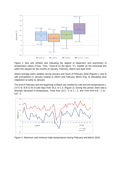

Figure 1. Box and whisker plot indicating the degree of dispersion and asymmetry of temperature values (Tmax, Tmin, Tsred M (in the figure "x"), median (in the horizontal line within the square) for the months of January, February, March and April 2018.

Above-average warm weather during January and much of February 2018 (Figures 1 and 2) with precipitation in January totaling to 29mm and February 38mm (Fig. 3) stimulated olive vegetation as early as January.

The end of February and the beginning of March are marked by cold and low temperatures (- 2.4˚C to -6.8˚C) for 5 cold days from 25.2. to 1.3. (Figure 2). During this period, there was a dramatic decrease in temperature, Tmax from 15.2 ° C to 1 ° C, and Tmin from 8.6 ° C to - 6.8 ° C.



Figure 2. Maximum and minimum daily temperatures during February and March 2018.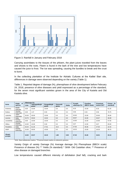

Figure 3. Rainfall in January and February 2018

Carrying assimilates to the tissues of the phloem, the plant juices traveled from the leaves and shoots to the roots. Floem is found in the bark of the tree and low temperatures have caused the juice to frost. The ice was spreading, causing the bundles to break and the crust to burst.

In the collecting plantation of the Institute for Adriatic Cultures at the Kaštel Stari site, differences in damage were observed depending on the variety (Table 1).

Table 1. Reported degree of damage (%), phenophase of olive development before February 24, 2018, presence of olive diseases and yield expressed as a percentage of the standard, for the seven most significant varieties grown in the area of the City of Kastela and Old Kastela olive.

| <b>Sorta</b>             | Origin of<br>species | Oštećenje (%) |                         |                       |                          |              | <b>Prosjek</b> | Fenofaza     | <b>Prisutnost</b> | Prinosi (% |
|--------------------------|----------------------|---------------|-------------------------|-----------------------|--------------------------|--------------|----------------|--------------|-------------------|------------|
|                          |                      | Lista         | Jednogodišnjih<br>grana | Dvogodišnjih<br>grana | <b>Osnovnih</b><br>grana | <b>Debla</b> | oštećenja (%)  | (BBCH skala) | bolesti (%)**     | standard)  |
| Drobnica                 | Middle<br>Dalmatia   | 5.00          | 10.00                   | 10.00                 | 0.0                      | 0.0          | 8.33           | 15.00        | 8.33              | 61.25      |
| Dužica                   | Srednja<br>Dalmacija | 0.00          | 1.67                    | 0.00                  | 0.0                      | 0.0          | 0.56           | 0.03         | 0.56              | 78.75      |
| Lastovka                 | Južna<br>Dalmacija   | 20.00         | 30.00                   | 10.00                 | 0.0                      | 0.0          | 20.00          | 15.00        | 20.00             | 35.00      |
| Leccino                  | Italija              | 23.75         | 45.63                   | 10.63                 | 0.0                      | 0.0          | 26.67          | 15.00        | 26.67             | 26.09      |
| Levantinka               | Srednja<br>Dalmacija | 5.00          | 10.00                   | 15.00                 | 0.0                      | 0.0          | 10.00          | 15.00        | 10.00             | 57.50      |
| Oblica                   | Srednja<br>Dalmacija | 10.00         | 10.00                   | 0.00                  | 0.0                      | 0.0          | 6.67           | 12.00        | 6.67              | 65.00      |
| Pendolino                | Italija              | 33.44         | 51.25                   | 27.81                 | 15.0                     | 0.0          | 37.50          | 35.06        | 37.50             | 22.34      |
| SKM <sup>*</sup>         | Srednja<br>Dalmacija | 15.00         | 30.00                   | 10.00                 | 0.0                      | 0.0          | 18.33          | 15.00        | 18.33             | 38.75      |
| <b>Ukupni</b><br>prosjek |                      | 14.02         | 23.57                   | 10.43                 | 1.88                     | 0.00         | 27.45          | 15.26        | 16.01             | 33.13      |

\*SKM- Stara kaštelanska maslina; \*\*Prisutnost bolesti masline na oštećenim granama

Variety Origin of variety Damage (%) Average damage (%) Phenophase (BBCH scale) Presence of disease (%) \*\* Yields (% standard) \* SKM- Old Castelian olive; \*\* Presence of olive disease on damaged branches

Low temperatures caused different intensity of defoliation (leaf fall), cracking and bark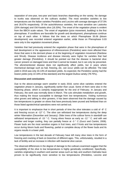separation of one-year, two-year and basic branches depending on the variety. No damage to trunks was observed on the cultivars studied. The most sensitive varieties to low temperatures are the Italian varieties Pendolino and Leccino with average damages of 37.5% and 26.67% respectively. Of the autochthonous varieties, the most sensitive are Lastovka (20% damage) and Old Kastela olive (18.33%). The onset of the vegetation phase is evident from the BBCH scale values. The onset of vegetation (juice movement, budding) is the first phenophase. If conditions are favorable for growth and development, phenophases continue on top of each other. It follows that the trees on which Phenophase 35.06 (bloom development) was recorded entered vegetation earlier, while those on Phenophase 0.03 were only in the vegetation movement phase.

Varieties that had previously entered the vegetation phase that were in the phenophase of leaf development or the appearance of inflorescences (Pendolino) were more affected than those that were in the dormant phase or at the beginning of vegetation movement (Rainbow and Shrub). Disease incidence and disease intensity were higher for varieties that had greater damage (Pendolino). It should be pointed out that the disease is bacterial olive cancer present on damaged trees and that it cannot be treated, but it can only be prevented. The aforementioned disease does not significantly affect yields, but in years where mechanical damage such as hail, freezing, etc. can occur yields can be affected. The total yield in 2018 was only 33.13% of standard yields. As expected, the Pendolino variety had the lowest yields (only 22.34% of the standard) and the largest Dužica variety (78.75%).

# **Discussion and conclusions**

Due to the above-average warm weather in early 2018, some olive varieties entered the vegetation phase in January, significantly earlier than usual. Some of them were also in the flowering phase, which is certainly inappropriate for the end of February. In January and February, the work was normally done in March. The cuts stimulate metabolism and growth, thus making the tissue susceptible to damage from low temperatures. Visiting numerous olive groves and talking to olive growers, it has been observed that the damage caused by low temperatures is greater on olives that have previously been pruned and fertilized than on those listed agrotechnical operations were not carried out.

It is important to emphasize that in short periods of time the olive tolerates a cold of -8° C and freezing occurs at -12° C. The olive can withstand low temperatures during the deep winter hibernation (December and January). Older trees of the cultivar forms in standstill can withstand temperatures of -15 ° C. Young olives freeze as early as -12 ° C. and with wet weather and longer cooling, they can partially freeze at -3 ° C (Gucci and Cantini, 2008). Flower buds are the most sensitive organs in fruit trees, and if frosts and low temperatures occur during bloom buds and flowering, partial or complete decay of the flower buds and its organs results in a lower yield.

Low temperatures in the last decade of February have left many olive trees in the form of freezing and cracking of bark on branches of different ages. This, unfortunately, resulted in a lack of fertility and an increase in infection with bacterial olive cancer.

The observed differences in the degree of damage to the cultivars examined suggest that the susceptibility of the olive to low temperatures is highly genetically conditioned. Specifically, varieties originating in southern and warmer areas such as Italy and southern Dalmatia have proven to be significantly more sensitive to low temperatures (Pendolino, Leccino and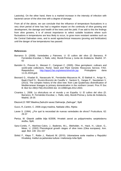Lastovka). On the other hand, there is a marked increase in the intensity of infection with bacterial cancer of the olive tree with a degree of damage.

From all of the above, we can conclude that the influence of temperature fluctuations in a very short period of time has had a negative impact on the continuity of olive growing and development, the damage and health of the trees and the yield. If we add to this the findings from olive growers, it is of utmost importance to select suitable locations where such fluctuations in temperatures are less likely to occur, to grow more resistant varieties such as the Central Dalmatian ones, and to avoid agrotechnical measures (pruning and fertilization) until the danger of low temperatures has passed.

#### **References**

- Barranco D. (2008). Variedades y Patrones. U: El cultivo del olivo (D Barranco, R Fernández-Escobar, L Rallo, eds), Mundi-Prensa y Junta de Andalucía. Madrid. 37- 62
- Bartolini G., Prevost G., Messeri C., Carignani C. (2005). Olive germplasm: cultivars and world-wide collections. Rome: Seed and Plant Genetic Resources Service, FAO. Raspoloživo: [http://apps3.fao.org/wiews/olive/oliv.jsp.](http://apps3.fao.org/wiews/olive/oliv.jsp) Pristupljeno dana 11.01.2019.god.
- Besnard G., Khadari B., Navascués M., Fernández-Mazuecos M., El Bakkali A., Arrigo N., Baali-Cherif D., Brunini-Bronzini de Caraffa V., Santoni S., Vargas P., Savolainen V. (2013). The complex history of the olive tree: from Late Quaternary diversification of Mediterranean lineages to primary domestication in the northern Levant. Proc R Soc B: Biol Sci 280(1756):20122833 doi: 10.1098/rspb.2012.2833.
- Civantos L. 2008. La olivicultura en el mundo y en España. U: El cultivo del olivo (D. Barranco, R. Fernández-Escobar, L. Rallo, eds), Mundi-Prensa y Junta de Andalucía, Madrid, 18-35
- Elezović, D.1997. Maslina, Zadružni savez Dalmacije "Zadrugar", Split
- Gucci, R.,Cantini, C. 2008.Uzgoj maslina, Naklada Uliks, Rijeka
- Lavee S. (1994). ¿Por qué la necesidad de nuevas variedades de olivos? Fruticultura. 62: 29-37
- Perica, M. Glasnik zaštite bilja 6/2006, Hrvatski zavod za poljoprivrednu savjetodavnu službu, Split,
- Sanz-Cortés, F., Martínez-Calvo, J., Badenes, M.L., Bleiholder, H., Hack, H., Llácer, G., Meier, U. (2002) Phenological growth stages of olive trees (Olea europaea). Ann. appl. Biol. 140: 151-157
- Strikić F., Klepo T., Rošin J., Radunić M. (2010). Udomaćene sorte masline u Republici Hrvatskoj. Institut za jadranske kulture i melioraciju krša Split.